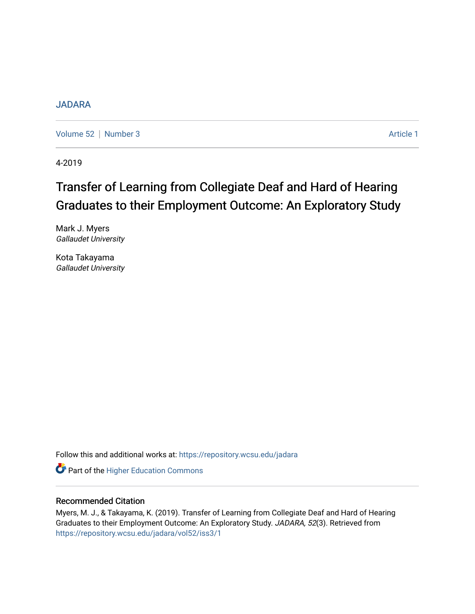## [JADARA](https://repository.wcsu.edu/jadara)

[Volume 52](https://repository.wcsu.edu/jadara/vol52) | [Number 3](https://repository.wcsu.edu/jadara/vol52/iss3) Article 1

4-2019

# Transfer of Learning from Collegiate Deaf and Hard of Hearing Graduates to their Employment Outcome: An Exploratory Study

Mark J. Myers Gallaudet University

Kota Takayama Gallaudet University

Follow this and additional works at: [https://repository.wcsu.edu/jadara](https://repository.wcsu.edu/jadara?utm_source=repository.wcsu.edu%2Fjadara%2Fvol52%2Fiss3%2F1&utm_medium=PDF&utm_campaign=PDFCoverPages)

**Part of the Higher Education Commons** 

## Recommended Citation

Myers, M. J., & Takayama, K. (2019). Transfer of Learning from Collegiate Deaf and Hard of Hearing Graduates to their Employment Outcome: An Exploratory Study. JADARA, 52(3). Retrieved from [https://repository.wcsu.edu/jadara/vol52/iss3/1](https://repository.wcsu.edu/jadara/vol52/iss3/1?utm_source=repository.wcsu.edu%2Fjadara%2Fvol52%2Fiss3%2F1&utm_medium=PDF&utm_campaign=PDFCoverPages)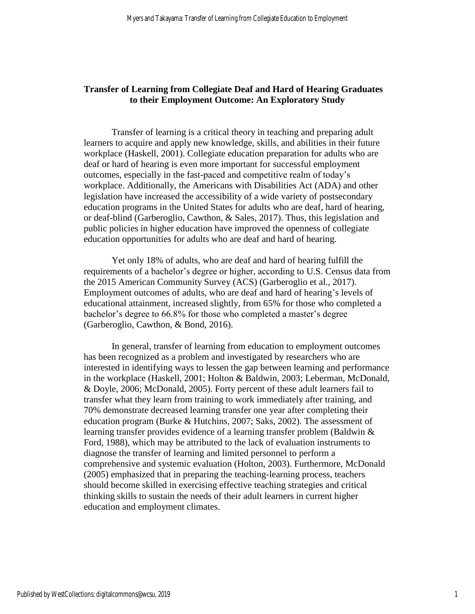## **Transfer of Learning from Collegiate Deaf and Hard of Hearing Graduates to their Employment Outcome: An Exploratory Study**

Transfer of learning is a critical theory in teaching and preparing adult learners to acquire and apply new knowledge, skills, and abilities in their future workplace (Haskell, 2001). Collegiate education preparation for adults who are deaf or hard of hearing is even more important for successful employment outcomes, especially in the fast-paced and competitive realm of today's workplace. Additionally, the Americans with Disabilities Act (ADA) and other legislation have increased the accessibility of a wide variety of postsecondary education programs in the United States for adults who are deaf, hard of hearing, or deaf-blind (Garberoglio, Cawthon, & Sales, 2017). Thus, this legislation and public policies in higher education have improved the openness of collegiate education opportunities for adults who are deaf and hard of hearing.

Yet only 18% of adults, who are deaf and hard of hearing fulfill the requirements of a bachelor's degree or higher, according to U.S. Census data from the 2015 American Community Survey (ACS) (Garberoglio et al., 2017). Employment outcomes of adults, who are deaf and hard of hearing's levels of educational attainment, increased slightly, from 65% for those who completed a bachelor's degree to 66.8% for those who completed a master's degree (Garberoglio, Cawthon, & Bond, 2016).

In general, transfer of learning from education to employment outcomes has been recognized as a problem and investigated by researchers who are interested in identifying ways to lessen the gap between learning and performance in the workplace (Haskell, 2001; Holton & Baldwin, 2003; Leberman, McDonald, & Doyle, 2006; McDonald, 2005). Forty percent of these adult learners fail to transfer what they learn from training to work immediately after training, and 70% demonstrate decreased learning transfer one year after completing their education program (Burke & Hutchins, 2007; Saks, 2002). The assessment of learning transfer provides evidence of a learning transfer problem (Baldwin & Ford, 1988), which may be attributed to the lack of evaluation instruments to diagnose the transfer of learning and limited personnel to perform a comprehensive and systemic evaluation (Holton, 2003). Furthermore, McDonald (2005) emphasized that in preparing the teaching-learning process, teachers should become skilled in exercising effective teaching strategies and critical thinking skills to sustain the needs of their adult learners in current higher education and employment climates.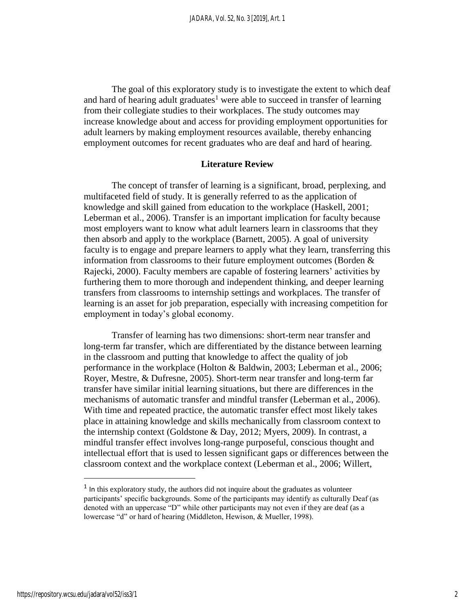The goal of this exploratory study is to investigate the extent to which deaf and hard of hearing adult graduates<sup>1</sup> were able to succeed in transfer of learning from their collegiate studies to their workplaces. The study outcomes may increase knowledge about and access for providing employment opportunities for adult learners by making employment resources available, thereby enhancing employment outcomes for recent graduates who are deaf and hard of hearing.

#### **Literature Review**

The concept of transfer of learning is a significant, broad, perplexing, and multifaceted field of study. It is generally referred to as the application of knowledge and skill gained from education to the workplace (Haskell, 2001; Leberman et al., 2006). Transfer is an important implication for faculty because most employers want to know what adult learners learn in classrooms that they then absorb and apply to the workplace (Barnett, 2005). A goal of university faculty is to engage and prepare learners to apply what they learn, transferring this information from classrooms to their future employment outcomes (Borden & Rajecki, 2000). Faculty members are capable of fostering learners' activities by furthering them to more thorough and independent thinking, and deeper learning transfers from classrooms to internship settings and workplaces. The transfer of learning is an asset for job preparation, especially with increasing competition for employment in today's global economy.

Transfer of learning has two dimensions: short-term near transfer and long-term far transfer, which are differentiated by the distance between learning in the classroom and putting that knowledge to affect the quality of job performance in the workplace (Holton & Baldwin, 2003; Leberman et al., 2006; Royer, Mestre, & Dufresne, 2005). Short-term near transfer and long-term far transfer have similar initial learning situations, but there are differences in the mechanisms of automatic transfer and mindful transfer (Leberman et al., 2006). With time and repeated practice, the automatic transfer effect most likely takes place in attaining knowledge and skills mechanically from classroom context to the internship context (Goldstone & Day, 2012; Myers, 2009). In contrast, a mindful transfer effect involves long-range purposeful, conscious thought and intellectual effort that is used to lessen significant gaps or differences between the classroom context and the workplace context (Leberman et al., 2006; Willert,

 $\overline{a}$ 

2

<sup>&</sup>lt;sup>1</sup> In this exploratory study, the authors did not inquire about the graduates as volunteer participants' specific backgrounds. Some of the participants may identify as culturally Deaf (as denoted with an uppercase "D" while other participants may not even if they are deaf (as a lowercase "d" or hard of hearing (Middleton, Hewison, & Mueller, 1998).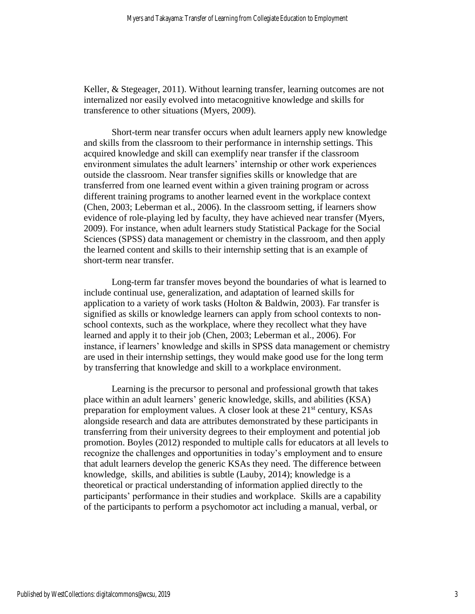Keller, & Stegeager, 2011). Without learning transfer, learning outcomes are not internalized nor easily evolved into metacognitive knowledge and skills for transference to other situations (Myers, 2009).

Short-term near transfer occurs when adult learners apply new knowledge and skills from the classroom to their performance in internship settings. This acquired knowledge and skill can exemplify near transfer if the classroom environment simulates the adult learners' internship or other work experiences outside the classroom. Near transfer signifies skills or knowledge that are transferred from one learned event within a given training program or across different training programs to another learned event in the workplace context (Chen, 2003; Leberman et al., 2006). In the classroom setting, if learners show evidence of role-playing led by faculty, they have achieved near transfer (Myers, 2009). For instance, when adult learners study Statistical Package for the Social Sciences (SPSS) data management or chemistry in the classroom, and then apply the learned content and skills to their internship setting that is an example of short-term near transfer.

Long-term far transfer moves beyond the boundaries of what is learned to include continual use, generalization, and adaptation of learned skills for application to a variety of work tasks (Holton  $\&$  Baldwin, 2003). Far transfer is signified as skills or knowledge learners can apply from school contexts to nonschool contexts, such as the workplace, where they recollect what they have learned and apply it to their job (Chen, 2003; Leberman et al., 2006). For instance, if learners' knowledge and skills in SPSS data management or chemistry are used in their internship settings, they would make good use for the long term by transferring that knowledge and skill to a workplace environment.

Learning is the precursor to personal and professional growth that takes place within an adult learners' generic knowledge, skills, and abilities (KSA) preparation for employment values. A closer look at these  $21<sup>st</sup>$  century, KSAs alongside research and data are attributes demonstrated by these participants in transferring from their university degrees to their employment and potential job promotion. Boyles (2012) responded to multiple calls for educators at all levels to recognize the challenges and opportunities in today's employment and to ensure that adult learners develop the generic KSAs they need. The difference between knowledge, skills, and abilities is subtle (Lauby, 2014); knowledge is a theoretical or practical understanding of information applied directly to the participants' performance in their studies and workplace. Skills are a capability of the participants to perform a psychomotor act including a manual, verbal, or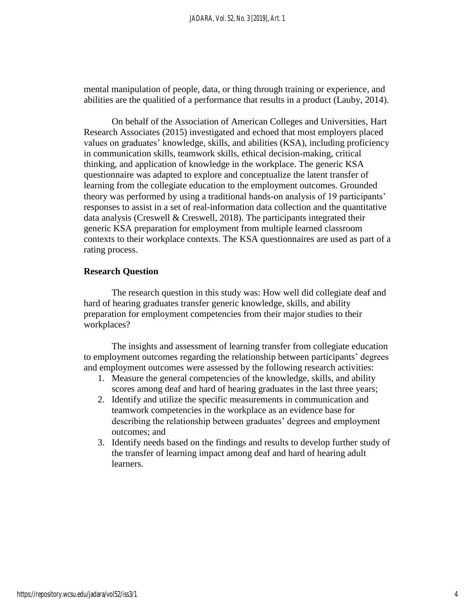mental manipulation of people, data, or thing through training or experience, and abilities are the qualitied of a performance that results in a product (Lauby, 2014).

On behalf of the Association of American Colleges and Universities, Hart Research Associates (2015) investigated and echoed that most employers placed values on graduates' knowledge, skills, and abilities (KSA), including proficiency in communication skills, teamwork skills, ethical decision-making, critical thinking, and application of knowledge in the workplace. The generic KSA questionnaire was adapted to explore and conceptualize the latent transfer of learning from the collegiate education to the employment outcomes. Grounded theory was performed by using a traditional hands-on analysis of 19 participants' responses to assist in a set of real-information data collection and the quantitative data analysis (Creswell & Creswell, 2018). The participants integrated their generic KSA preparation for employment from multiple learned classroom contexts to their workplace contexts. The KSA questionnaires are used as part of a rating process.

#### **Research Question**

The research question in this study was: How well did collegiate deaf and hard of hearing graduates transfer generic knowledge, skills, and ability preparation for employment competencies from their major studies to their workplaces?

The insights and assessment of learning transfer from collegiate education to employment outcomes regarding the relationship between participants' degrees and employment outcomes were assessed by the following research activities:

- 1. Measure the general competencies of the knowledge, skills, and ability scores among deaf and hard of hearing graduates in the last three years;
- 2. Identify and utilize the specific measurements in communication and teamwork competencies in the workplace as an evidence base for describing the relationship between graduates' degrees and employment outcomes; and
- 3. Identify needs based on the findings and results to develop further study of the transfer of learning impact among deaf and hard of hearing adult learners.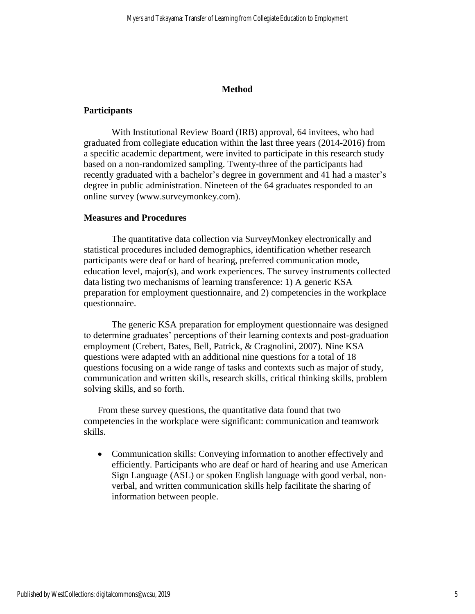## **Method**

## **Participants**

With Institutional Review Board (IRB) approval, 64 invitees, who had graduated from collegiate education within the last three years (2014-2016) from a specific academic department, were invited to participate in this research study based on a non-randomized sampling. Twenty-three of the participants had recently graduated with a bachelor's degree in government and 41 had a master's degree in public administration. Nineteen of the 64 graduates responded to an online survey (www.surveymonkey.com).

## **Measures and Procedures**

The quantitative data collection via SurveyMonkey electronically and statistical procedures included demographics, identification whether research participants were deaf or hard of hearing, preferred communication mode, education level, major(s), and work experiences. The survey instruments collected data listing two mechanisms of learning transference: 1) A generic KSA preparation for employment questionnaire, and 2) competencies in the workplace questionnaire.

The generic KSA preparation for employment questionnaire was designed to determine graduates' perceptions of their learning contexts and post-graduation employment (Crebert, Bates, Bell, Patrick, & Cragnolini, 2007). Nine KSA questions were adapted with an additional nine questions for a total of 18 questions focusing on a wide range of tasks and contexts such as major of study, communication and written skills, research skills, critical thinking skills, problem solving skills, and so forth.

From these survey questions, the quantitative data found that two competencies in the workplace were significant: communication and teamwork skills.

• Communication skills: Conveying information to another effectively and efficiently. Participants who are deaf or hard of hearing and use American Sign Language (ASL) or spoken English language with good verbal, nonverbal, and written communication skills help facilitate the sharing of information between people.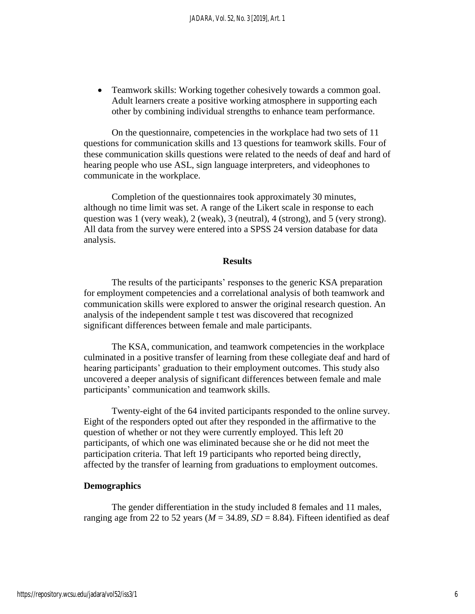• Teamwork skills: Working together cohesively towards a common goal. Adult learners create a positive working atmosphere in supporting each other by combining individual strengths to enhance team performance.

On the questionnaire, competencies in the workplace had two sets of 11 questions for communication skills and 13 questions for teamwork skills. Four of these communication skills questions were related to the needs of deaf and hard of hearing people who use ASL, sign language interpreters, and videophones to communicate in the workplace.

Completion of the questionnaires took approximately 30 minutes, although no time limit was set. A range of the Likert scale in response to each question was 1 (very weak), 2 (weak), 3 (neutral), 4 (strong), and 5 (very strong). All data from the survey were entered into a SPSS 24 version database for data analysis.

#### **Results**

The results of the participants' responses to the generic KSA preparation for employment competencies and a correlational analysis of both teamwork and communication skills were explored to answer the original research question. An analysis of the independent sample t test was discovered that recognized significant differences between female and male participants.

The KSA, communication, and teamwork competencies in the workplace culminated in a positive transfer of learning from these collegiate deaf and hard of hearing participants' graduation to their employment outcomes. This study also uncovered a deeper analysis of significant differences between female and male participants' communication and teamwork skills.

Twenty-eight of the 64 invited participants responded to the online survey. Eight of the responders opted out after they responded in the affirmative to the question of whether or not they were currently employed. This left 20 participants, of which one was eliminated because she or he did not meet the participation criteria. That left 19 participants who reported being directly, affected by the transfer of learning from graduations to employment outcomes.

## **Demographics**

The gender differentiation in the study included 8 females and 11 males, ranging age from 22 to 52 years ( $M = 34.89$ ,  $SD = 8.84$ ). Fifteen identified as deaf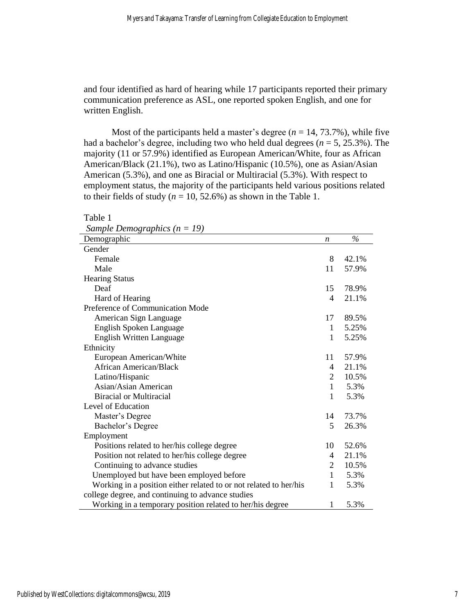and four identified as hard of hearing while 17 participants reported their primary communication preference as ASL, one reported spoken English, and one for written English.

Most of the participants held a master's degree  $(n = 14, 73.7\%)$ , while five had a bachelor's degree, including two who held dual degrees (*n* = 5, 25.3%). The majority (11 or 57.9%) identified as European American/White, four as African American/Black (21.1%), two as Latino/Hispanic (10.5%), one as Asian/Asian American (5.3%), and one as Biracial or Multiracial (5.3%). With respect to employment status, the majority of the participants held various positions related to their fields of study ( $n = 10, 52.6\%$ ) as shown in the Table 1.

| Sample Demographics ( $n = 19$ )                                  |              |       |
|-------------------------------------------------------------------|--------------|-------|
| Demographic                                                       | n            | $\%$  |
| Gender                                                            |              |       |
| Female                                                            | 8            | 42.1% |
| Male                                                              | 11           | 57.9% |
| <b>Hearing Status</b>                                             |              |       |
| Deaf                                                              | 15           | 78.9% |
| Hard of Hearing                                                   | 4            | 21.1% |
| Preference of Communication Mode                                  |              |       |
| American Sign Language                                            | 17           | 89.5% |
| English Spoken Language                                           | $\mathbf{1}$ | 5.25% |
| <b>English Written Language</b>                                   | $\mathbf{1}$ | 5.25% |
| Ethnicity                                                         |              |       |
| European American/White                                           | 11           | 57.9% |
| African American/Black                                            | 4            | 21.1% |
| Latino/Hispanic                                                   | 2            | 10.5% |
| Asian/Asian American                                              | $\mathbf{1}$ | 5.3%  |
| <b>Biracial or Multiracial</b>                                    | $\mathbf{1}$ | 5.3%  |
| Level of Education                                                |              |       |
| Master's Degree                                                   | 14           | 73.7% |
| Bachelor's Degree                                                 | 5            | 26.3% |
| Employment                                                        |              |       |
| Positions related to her/his college degree                       | 10           | 52.6% |
| Position not related to her/his college degree                    | 4            | 21.1% |
| Continuing to advance studies                                     | 2            | 10.5% |
| Unemployed but have been employed before                          | 1            | 5.3%  |
| Working in a position either related to or not related to her/his | $\mathbf{1}$ | 5.3%  |
| college degree, and continuing to advance studies                 |              |       |
| Working in a temporary position related to her/his degree         | $\mathbf{1}$ | 5.3%  |

Table 1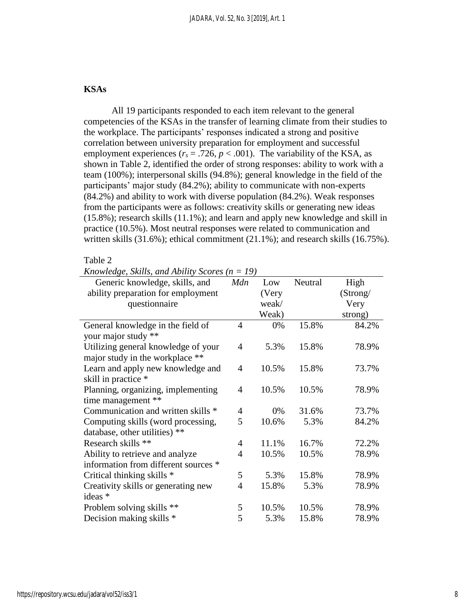## **KSAs**

All 19 participants responded to each item relevant to the general competencies of the KSAs in the transfer of learning climate from their studies to the workplace. The participants' responses indicated a strong and positive correlation between university preparation for employment and successful employment experiences ( $r_s = .726$ ,  $p < .001$ ). The variability of the KSA, as shown in Table 2, identified the order of strong responses: ability to work with a team (100%); interpersonal skills (94.8%); general knowledge in the field of the participants' major study (84.2%); ability to communicate with non-experts (84.2%) and ability to work with diverse population (84.2%). Weak responses from the participants were as follows: creativity skills or generating new ideas (15.8%); research skills (11.1%); and learn and apply new knowledge and skill in practice (10.5%). Most neutral responses were related to communication and written skills (31.6%); ethical commitment (21.1%); and research skills (16.75%).

#### Table 2

| Generic knowledge, skills, and       | Mdn            | Low   | Neutral | High     |
|--------------------------------------|----------------|-------|---------|----------|
| ability preparation for employment   |                | (Very |         | (Strong/ |
| questionnaire                        |                | weak/ |         | Very     |
|                                      |                | Weak) |         | strong)  |
| General knowledge in the field of    | 4              | 0%    | 15.8%   | 84.2%    |
| your major study **                  |                |       |         |          |
| Utilizing general knowledge of your  | $\overline{4}$ | 5.3%  | 15.8%   | 78.9%    |
| major study in the workplace **      |                |       |         |          |
| Learn and apply new knowledge and    | $\overline{4}$ | 10.5% | 15.8%   | 73.7%    |
| skill in practice *                  |                |       |         |          |
| Planning, organizing, implementing   | $\overline{4}$ | 10.5% | 10.5%   | 78.9%    |
| time management **                   |                |       |         |          |
| Communication and written skills *   | $\overline{4}$ | 0%    | 31.6%   | 73.7%    |
| Computing skills (word processing,   | 5              | 10.6% | 5.3%    | 84.2%    |
| database, other utilities) **        |                |       |         |          |
| Research skills **                   | $\overline{4}$ | 11.1% | 16.7%   | 72.2%    |
| Ability to retrieve and analyze      | $\overline{4}$ | 10.5% | 10.5%   | 78.9%    |
| information from different sources * |                |       |         |          |
| Critical thinking skills *           | 5              | 5.3%  | 15.8%   | 78.9%    |
| Creativity skills or generating new  | 4              | 15.8% | 5.3%    | 78.9%    |
| ideas *                              |                |       |         |          |
| Problem solving skills **            | 5              | 10.5% | 10.5%   | 78.9%    |
| Decision making skills *             | 5              | 5.3%  | 15.8%   | 78.9%    |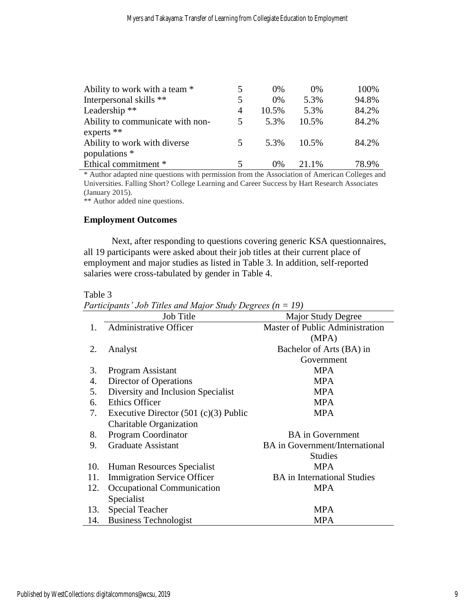| Ability to work with a team *    |    | $0\%$ | $0\%$ | 100%  |
|----------------------------------|----|-------|-------|-------|
| Interpersonal skills **          |    | $0\%$ | 5.3%  | 94.8% |
| Leadership <sup>**</sup>         | 4  | 10.5% | 5.3%  | 84.2% |
| Ability to communicate with non- | 5. | 5.3%  | 10.5% | 84.2% |
| experts $**$                     |    |       |       |       |
| Ability to work with diverse     | 5  | 5.3%  | 10.5% | 84.2% |
| populations *                    |    |       |       |       |
| Ethical commitment *             |    | $0\%$ | 21.1% | 78.9% |

\* Author adapted nine questions with permission from the Association of American Colleges and Universities. Falling Short? College Learning and Career Success by Hart Research Associates (January 2015).

\*\* Author added nine questions.

## **Employment Outcomes**

Next, after responding to questions covering generic KSA questionnaires, all 19 participants were asked about their job titles at their current place of employment and major studies as listed in Table 3. In addition, self-reported salaries were cross-tabulated by gender in Table 4.

## Table 3

*Participants' Job Titles and Major Study Degrees (n = 19)*

|     | <b>Job Title</b>                        | <b>Major Study Degree</b>              |
|-----|-----------------------------------------|----------------------------------------|
| 1.  | <b>Administrative Officer</b>           | <b>Master of Public Administration</b> |
|     |                                         | (MPA)                                  |
| 2.  | Analyst                                 | Bachelor of Arts (BA) in               |
|     |                                         | Government                             |
| 3.  | Program Assistant                       | <b>MPA</b>                             |
| 4.  | Director of Operations                  | <b>MPA</b>                             |
| 5.  | Diversity and Inclusion Specialist      | <b>MPA</b>                             |
| 6.  | <b>Ethics Officer</b>                   | <b>MPA</b>                             |
| 7.  | Executive Director $(501 (c)(3)$ Public | <b>MPA</b>                             |
|     | Charitable Organization                 |                                        |
| 8.  | Program Coordinator                     | <b>BA</b> in Government                |
| 9.  | <b>Graduate Assistant</b>               | <b>BA</b> in Government/International  |
|     |                                         | <b>Studies</b>                         |
| 10. | Human Resources Specialist              | <b>MPA</b>                             |
| 11. | <b>Immigration Service Officer</b>      | <b>BA</b> in International Studies     |
| 12. | Occupational Communication              | <b>MPA</b>                             |
|     | Specialist                              |                                        |
| 13. | Special Teacher                         | <b>MPA</b>                             |
| 14. | <b>Business Technologist</b>            | <b>MPA</b>                             |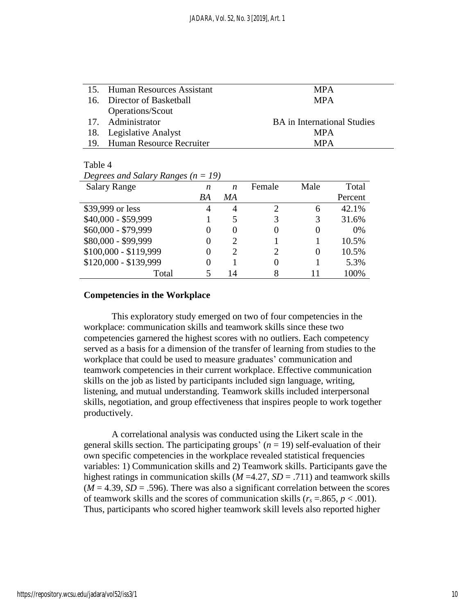| 15. Human Resources Assistant | <b>MPA</b>                         |
|-------------------------------|------------------------------------|
| 16. Director of Basketball    | <b>MPA</b>                         |
| Operations/Scout              |                                    |
| 17. Administrator             | <b>BA</b> in International Studies |
| 18. Legislative Analyst       | <b>MPA</b>                         |
| 19. Human Resource Recruiter  | <b>MPA</b>                         |

#### Table 4

*Degrees and Salary Ranges (n = 19)*

| <b>Salary Range</b>   | n  | n             | Female                      | Male | Total   |
|-----------------------|----|---------------|-----------------------------|------|---------|
|                       | BA | MA            |                             |      | Percent |
| \$39,999 or less      |    | 4             | $\mathcal{D}_{\mathcal{A}}$ | 6    | 42.1%   |
| \$40,000 - \$59,999   |    |               | 3                           |      | 31.6%   |
| \$60,000 - \$79,999   |    |               |                             |      | 0%      |
| \$80,000 - \$99,999   |    |               |                             |      | 10.5%   |
| $$100,000 - $119,999$ |    | $\mathcal{D}$ | $\mathcal{D}_{\mathcal{L}}$ |      | 10.5%   |
| \$120,000 - \$139,999 |    |               |                             |      | 5.3%    |
| Total                 |    | 14            |                             |      | 100%    |

#### **Competencies in the Workplace**

This exploratory study emerged on two of four competencies in the workplace: communication skills and teamwork skills since these two competencies garnered the highest scores with no outliers. Each competency served as a basis for a dimension of the transfer of learning from studies to the workplace that could be used to measure graduates' communication and teamwork competencies in their current workplace. Effective communication skills on the job as listed by participants included sign language, writing, listening, and mutual understanding. Teamwork skills included interpersonal skills, negotiation, and group effectiveness that inspires people to work together productively.

A correlational analysis was conducted using the Likert scale in the general skills section. The participating groups'  $(n = 19)$  self-evaluation of their own specific competencies in the workplace revealed statistical frequencies variables: 1) Communication skills and 2) Teamwork skills. Participants gave the highest ratings in communication skills (*M* =4.27, *SD* = .711) and teamwork skills  $(M = 4.39, SD = .596)$ . There was also a significant correlation between the scores of teamwork skills and the scores of communication skills ( $r_s = 0.865$ ,  $p < 0.001$ ). Thus, participants who scored higher teamwork skill levels also reported higher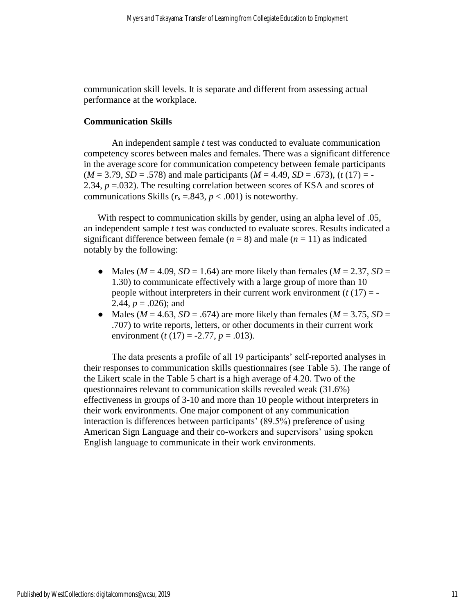communication skill levels. It is separate and different from assessing actual performance at the workplace.

## **Communication Skills**

An independent sample *t* test was conducted to evaluate communication competency scores between males and females. There was a significant difference in the average score for communication competency between female participants  $(M = 3.79, SD = .578)$  and male participants  $(M = 4.49, SD = .673)$ ,  $(t(17) = -$ 2.34,  $p = 0.032$ ). The resulting correlation between scores of KSA and scores of communications Skills ( $r_s = .843$ ,  $p < .001$ ) is noteworthy.

With respect to communication skills by gender, using an alpha level of .05, an independent sample *t* test was conducted to evaluate scores. Results indicated a significant difference between female  $(n = 8)$  and male  $(n = 11)$  as indicated notably by the following:

- Males ( $M = 4.09$ ,  $SD = 1.64$ ) are more likely than females ( $M = 2.37$ ,  $SD =$ 1.30) to communicate effectively with a large group of more than 10 people without interpreters in their current work environment  $(t(17) = -$ 2.44,  $p = .026$ ; and
- Males ( $M = 4.63$ ,  $SD = .674$ ) are more likely than females ( $M = 3.75$ ,  $SD =$ .707) to write reports, letters, or other documents in their current work environment (*t* (17) = -2.77, *p* = .013).

The data presents a profile of all 19 participants' self-reported analyses in their responses to communication skills questionnaires (see Table 5). The range of the Likert scale in the Table 5 chart is a high average of 4.20. Two of the questionnaires relevant to communication skills revealed weak (31.6%) effectiveness in groups of 3-10 and more than 10 people without interpreters in their work environments. One major component of any communication interaction is differences between participants' (89.5%) preference of using American Sign Language and their co-workers and supervisors' using spoken English language to communicate in their work environments.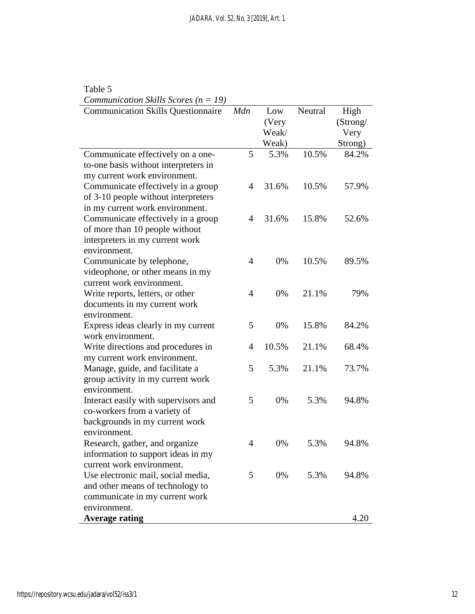| Table 5                                         |                |       |         |          |
|-------------------------------------------------|----------------|-------|---------|----------|
| <i>Communication Skills Scores</i> ( $n = 19$ ) |                |       |         |          |
| <b>Communication Skills Questionnaire</b>       | Mdn            | Low   | Neutral | High     |
|                                                 |                | (Very |         | (Strong/ |
|                                                 |                | Weak/ |         | Very     |
|                                                 |                | Weak) |         | Strong)  |
| Communicate effectively on a one-               | 5              | 5.3%  | 10.5%   | 84.2%    |
| to-one basis without interpreters in            |                |       |         |          |
| my current work environment.                    |                |       |         |          |
| Communicate effectively in a group              | $\overline{4}$ | 31.6% | 10.5%   | 57.9%    |
| of 3-10 people without interpreters             |                |       |         |          |
| in my current work environment.                 |                |       |         |          |
| Communicate effectively in a group              | $\overline{4}$ | 31.6% | 15.8%   | 52.6%    |
| of more than 10 people without                  |                |       |         |          |
| interpreters in my current work                 |                |       |         |          |
| environment.                                    |                |       |         |          |
| Communicate by telephone,                       | $\overline{4}$ | 0%    | 10.5%   | 89.5%    |
| videophone, or other means in my                |                |       |         |          |
| current work environment.                       |                |       |         |          |
| Write reports, letters, or other                | $\overline{4}$ | 0%    | 21.1%   | 79%      |
| documents in my current work                    |                |       |         |          |
| environment.                                    |                |       |         |          |
| Express ideas clearly in my current             | 5              | 0%    | 15.8%   | 84.2%    |
| work environment.                               |                |       |         |          |
| Write directions and procedures in              | $\overline{4}$ | 10.5% | 21.1%   | 68.4%    |
| my current work environment.                    |                |       |         |          |
| Manage, guide, and facilitate a                 | 5              | 5.3%  | 21.1%   | 73.7%    |
| group activity in my current work               |                |       |         |          |
| environment.                                    |                |       |         |          |
| Interact easily with supervisors and            | 5              | 0%    | 5.3%    | 94.8%    |
| co-workers from a variety of                    |                |       |         |          |
| backgrounds in my current work                  |                |       |         |          |
| environment.                                    |                |       |         |          |
| Research, gather, and organize                  | 4              | 0%    | 5.3%    | 94.8%    |
| information to support ideas in my              |                |       |         |          |
| current work environment.                       |                |       |         |          |
| Use electronic mail, social media,              | 5              | 0%    | 5.3%    | 94.8%    |
| and other means of technology to                |                |       |         |          |
| communicate in my current work                  |                |       |         |          |
| environment.                                    |                |       |         |          |
| <b>Average rating</b>                           |                |       |         | 4.20     |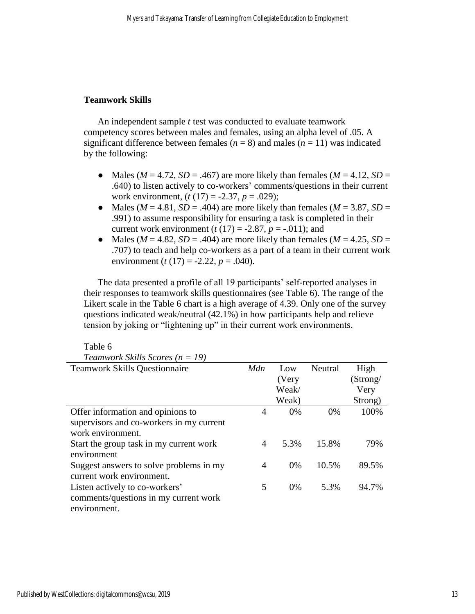## **Teamwork Skills**

An independent sample *t* test was conducted to evaluate teamwork competency scores between males and females, using an alpha level of .05. A significant difference between females ( $n = 8$ ) and males ( $n = 11$ ) was indicated by the following:

- Males ( $M = 4.72$ ,  $SD = .467$ ) are more likely than females ( $M = 4.12$ ,  $SD =$ .640) to listen actively to co-workers' comments/questions in their current work environment, (*t* (17) = -2.37, *p* = .029);
- Males ( $M = 4.81$ ,  $SD = .404$ ) are more likely than females ( $M = 3.87$ ,  $SD =$ .991) to assume responsibility for ensuring a task is completed in their current work environment  $(t(17) = -2.87, p = -.011)$ ; and
- Males ( $M = 4.82$ ,  $SD = .404$ ) are more likely than females ( $M = 4.25$ ,  $SD =$ .707) to teach and help co-workers as a part of a team in their current work environment (*t* (17) = -2.22, *p* = .040).

The data presented a profile of all 19 participants' self-reported analyses in their responses to teamwork skills questionnaires (see Table 6). The range of the Likert scale in the Table 6 chart is a high average of 4.39. Only one of the survey questions indicated weak/neutral (42.1%) in how participants help and relieve tension by joking or "lightening up" in their current work environments.

| Teamwork Skills Scores ( $n = 19$ )      |     |       |         |          |
|------------------------------------------|-----|-------|---------|----------|
| <b>Teamwork Skills Questionnaire</b>     | Mdn | Low   | Neutral | High     |
|                                          |     | (Very |         | (Strong/ |
|                                          |     | Weak/ |         | Very     |
|                                          |     | Weak) |         | Strong)  |
| Offer information and opinions to        | 4   | $0\%$ | $0\%$   | 100%     |
| supervisors and co-workers in my current |     |       |         |          |
| work environment.                        |     |       |         |          |
| Start the group task in my current work  | 4   | 5.3%  | 15.8%   | 79%      |
| environment                              |     |       |         |          |
| Suggest answers to solve problems in my  | 4   | $0\%$ | 10.5%   | 89.5%    |
| current work environment.                |     |       |         |          |
| Listen actively to co-workers'           | 5   | $0\%$ | 5.3%    | 94.7%    |
| comments/questions in my current work    |     |       |         |          |
| environment.                             |     |       |         |          |

Table 6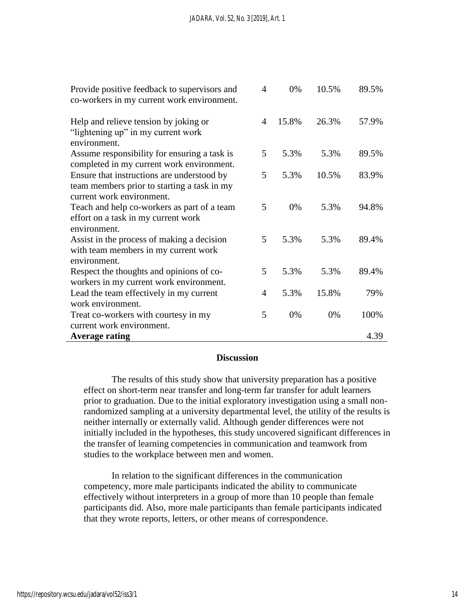| Provide positive feedback to supervisors and<br>co-workers in my current work environment.                             | 4 | 0%    | 10.5% | 89.5% |
|------------------------------------------------------------------------------------------------------------------------|---|-------|-------|-------|
| Help and relieve tension by joking or<br>"lightening up" in my current work<br>environment.                            | 4 | 15.8% | 26.3% | 57.9% |
| Assume responsibility for ensuring a task is<br>completed in my current work environment.                              | 5 | 5.3%  | 5.3%  | 89.5% |
| Ensure that instructions are understood by<br>team members prior to starting a task in my<br>current work environment. | 5 | 5.3%  | 10.5% | 83.9% |
| Teach and help co-workers as part of a team<br>effort on a task in my current work<br>environment.                     | 5 | 0%    | 5.3%  | 94.8% |
| Assist in the process of making a decision<br>with team members in my current work<br>environment.                     | 5 | 5.3%  | 5.3%  | 89.4% |
| Respect the thoughts and opinions of co-<br>workers in my current work environment.                                    | 5 | 5.3%  | 5.3%  | 89.4% |
| Lead the team effectively in my current<br>work environment.                                                           | 4 | 5.3%  | 15.8% | 79%   |
| Treat co-workers with courtesy in my<br>current work environment.                                                      | 5 | 0%    | 0%    | 100%  |
| <b>Average rating</b>                                                                                                  |   |       |       | 4.39  |

## **Discussion**

The results of this study show that university preparation has a positive effect on short-term near transfer and long-term far transfer for adult learners prior to graduation. Due to the initial exploratory investigation using a small nonrandomized sampling at a university departmental level, the utility of the results is neither internally or externally valid. Although gender differences were not initially included in the hypotheses, this study uncovered significant differences in the transfer of learning competencies in communication and teamwork from studies to the workplace between men and women.

In relation to the significant differences in the communication competency, more male participants indicated the ability to communicate effectively without interpreters in a group of more than 10 people than female participants did. Also, more male participants than female participants indicated that they wrote reports, letters, or other means of correspondence.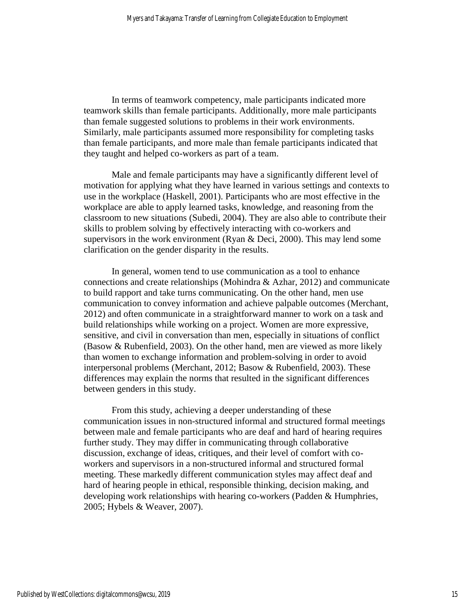In terms of teamwork competency, male participants indicated more teamwork skills than female participants. Additionally, more male participants than female suggested solutions to problems in their work environments. Similarly, male participants assumed more responsibility for completing tasks than female participants, and more male than female participants indicated that they taught and helped co-workers as part of a team.

Male and female participants may have a significantly different level of motivation for applying what they have learned in various settings and contexts to use in the workplace (Haskell, 2001). Participants who are most effective in the workplace are able to apply learned tasks, knowledge, and reasoning from the classroom to new situations (Subedi, 2004). They are also able to contribute their skills to problem solving by effectively interacting with co-workers and supervisors in the work environment (Ryan & Deci, 2000). This may lend some clarification on the gender disparity in the results.

In general, women tend to use communication as a tool to enhance connections and create relationships (Mohindra & Azhar, 2012) and communicate to build rapport and take turns communicating. On the other hand, men use communication to convey information and achieve palpable outcomes (Merchant, 2012) and often communicate in a straightforward manner to work on a task and build relationships while working on a project. Women are more expressive, sensitive, and civil in conversation than men, especially in situations of conflict (Basow & Rubenfield, 2003). On the other hand, men are viewed as more likely than women to exchange information and problem-solving in order to avoid interpersonal problems (Merchant, 2012; Basow & Rubenfield, 2003). These differences may explain the norms that resulted in the significant differences between genders in this study.

From this study, achieving a deeper understanding of these communication issues in non-structured informal and structured formal meetings between male and female participants who are deaf and hard of hearing requires further study. They may differ in communicating through collaborative discussion, exchange of ideas, critiques, and their level of comfort with coworkers and supervisors in a non-structured informal and structured formal meeting. These markedly different communication styles may affect deaf and hard of hearing people in ethical, responsible thinking, decision making, and developing work relationships with hearing co-workers (Padden & Humphries, 2005; Hybels & Weaver, 2007).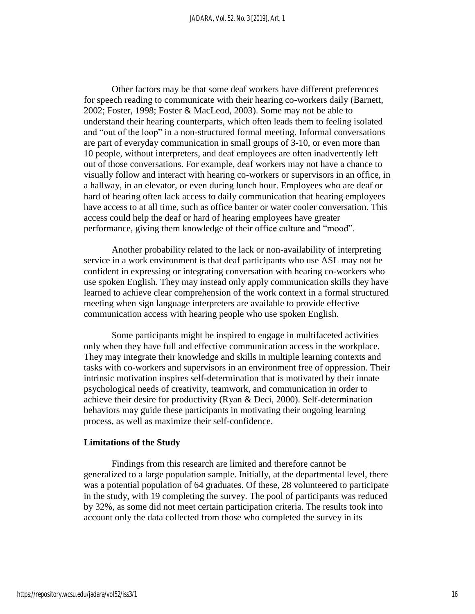Other factors may be that some deaf workers have different preferences for speech reading to communicate with their hearing co-workers daily (Barnett, 2002; Foster, 1998; Foster & MacLeod, 2003). Some may not be able to understand their hearing counterparts, which often leads them to feeling isolated and "out of the loop" in a non-structured formal meeting. Informal conversations are part of everyday communication in small groups of 3-10, or even more than 10 people, without interpreters, and deaf employees are often inadvertently left out of those conversations. For example, deaf workers may not have a chance to visually follow and interact with hearing co-workers or supervisors in an office, in a hallway, in an elevator, or even during lunch hour. Employees who are deaf or hard of hearing often lack access to daily communication that hearing employees have access to at all time, such as office banter or water cooler conversation. This access could help the deaf or hard of hearing employees have greater performance, giving them knowledge of their office culture and "mood".

Another probability related to the lack or non-availability of interpreting service in a work environment is that deaf participants who use ASL may not be confident in expressing or integrating conversation with hearing co-workers who use spoken English. They may instead only apply communication skills they have learned to achieve clear comprehension of the work context in a formal structured meeting when sign language interpreters are available to provide effective communication access with hearing people who use spoken English.

Some participants might be inspired to engage in multifaceted activities only when they have full and effective communication access in the workplace. They may integrate their knowledge and skills in multiple learning contexts and tasks with co-workers and supervisors in an environment free of oppression. Their intrinsic motivation inspires self-determination that is motivated by their innate psychological needs of creativity, teamwork, and communication in order to achieve their desire for productivity (Ryan & Deci, 2000). Self-determination behaviors may guide these participants in motivating their ongoing learning process, as well as maximize their self-confidence.

#### **Limitations of the Study**

Findings from this research are limited and therefore cannot be generalized to a large population sample. Initially, at the departmental level, there was a potential population of 64 graduates. Of these, 28 volunteered to participate in the study, with 19 completing the survey. The pool of participants was reduced by 32%, as some did not meet certain participation criteria. The results took into account only the data collected from those who completed the survey in its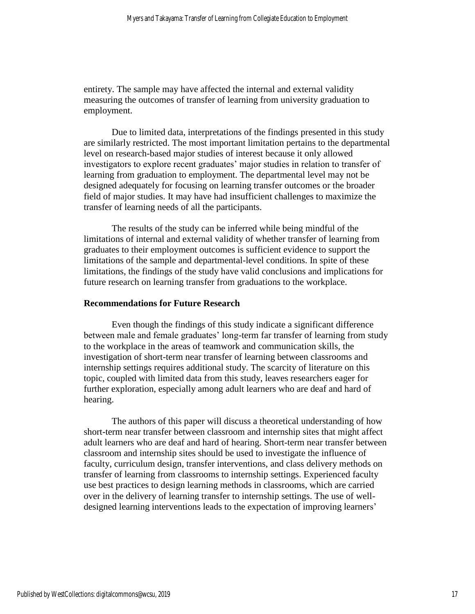entirety. The sample may have affected the internal and external validity measuring the outcomes of transfer of learning from university graduation to employment.

Due to limited data, interpretations of the findings presented in this study are similarly restricted. The most important limitation pertains to the departmental level on research-based major studies of interest because it only allowed investigators to explore recent graduates' major studies in relation to transfer of learning from graduation to employment. The departmental level may not be designed adequately for focusing on learning transfer outcomes or the broader field of major studies. It may have had insufficient challenges to maximize the transfer of learning needs of all the participants.

The results of the study can be inferred while being mindful of the limitations of internal and external validity of whether transfer of learning from graduates to their employment outcomes is sufficient evidence to support the limitations of the sample and departmental-level conditions. In spite of these limitations, the findings of the study have valid conclusions and implications for future research on learning transfer from graduations to the workplace.

#### **Recommendations for Future Research**

Even though the findings of this study indicate a significant difference between male and female graduates' long-term far transfer of learning from study to the workplace in the areas of teamwork and communication skills, the investigation of short-term near transfer of learning between classrooms and internship settings requires additional study. The scarcity of literature on this topic, coupled with limited data from this study, leaves researchers eager for further exploration, especially among adult learners who are deaf and hard of hearing.

The authors of this paper will discuss a theoretical understanding of how short-term near transfer between classroom and internship sites that might affect adult learners who are deaf and hard of hearing. Short-term near transfer between classroom and internship sites should be used to investigate the influence of faculty, curriculum design, transfer interventions, and class delivery methods on transfer of learning from classrooms to internship settings. Experienced faculty use best practices to design learning methods in classrooms, which are carried over in the delivery of learning transfer to internship settings. The use of welldesigned learning interventions leads to the expectation of improving learners'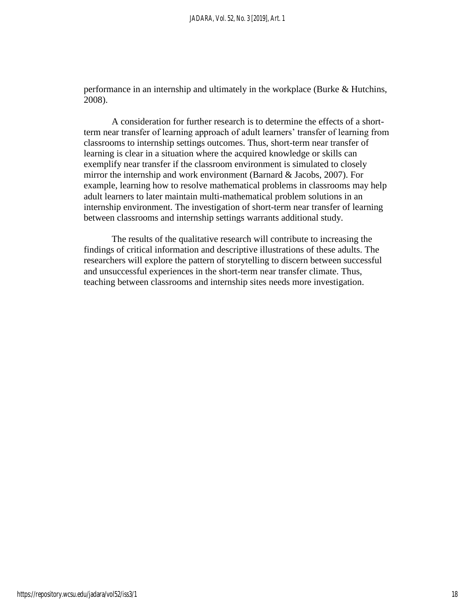performance in an internship and ultimately in the workplace (Burke & Hutchins, 2008).

A consideration for further research is to determine the effects of a shortterm near transfer of learning approach of adult learners' transfer of learning from classrooms to internship settings outcomes. Thus, short-term near transfer of learning is clear in a situation where the acquired knowledge or skills can exemplify near transfer if the classroom environment is simulated to closely mirror the internship and work environment (Barnard & Jacobs, 2007). For example, learning how to resolve mathematical problems in classrooms may help adult learners to later maintain multi-mathematical problem solutions in an internship environment. The investigation of short-term near transfer of learning between classrooms and internship settings warrants additional study.

The results of the qualitative research will contribute to increasing the findings of critical information and descriptive illustrations of these adults. The researchers will explore the pattern of storytelling to discern between successful and unsuccessful experiences in the short-term near transfer climate. Thus, teaching between classrooms and internship sites needs more investigation.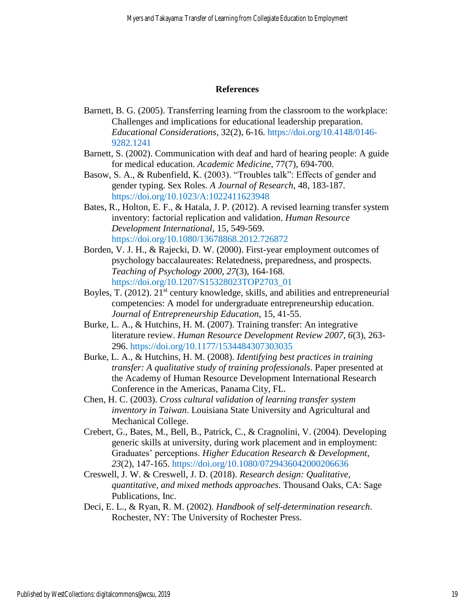## **References**

- Barnett, B. G. (2005). Transferring learning from the classroom to the workplace: Challenges and implications for educational leadership preparation. *Educational Considerations*, 32(2), 6-16. [https://doi.org/10.4148/0146-](https://doi.org/10.4148/0146-9282.1241) [9282.1241](https://doi.org/10.4148/0146-9282.1241)
- Barnett, S. (2002). Communication with deaf and hard of hearing people: A guide for medical education. *Academic Medicine*, 77(7), 694-700.
- Basow, S. A., & Rubenfield, K. (2003). "Troubles talk": Effects of gender and gender typing. Sex Roles. *A Journal of Research*, 48, 183-187. <https://doi.org/10.1023/A:1022411623948>
- Bates, R., Holton, E. F., & Hatala, J. P. (2012). A revised learning transfer system inventory: factorial replication and validation. *Human Resource Development International*, 15, 549-569. <https://doi.org/10.1080/13678868.2012.726872>
- Borden, V. J. H., & Rajecki, D. W. (2000). First-year employment outcomes of psychology baccalaureates: Relatedness, preparedness, and prospects. *Teaching of Psychology 2000, 27*(3), 164-168. [https://doi.org/10.1207/S15328023TOP2703\\_01](https://doi.org/10.1207/S15328023TOP2703_01)
- Boyles, T. (2012).  $21^{st}$  century knowledge, skills, and abilities and entrepreneurial competencies: A model for undergraduate entrepreneurship education. *Journal of Entrepreneurship Education*, 15, 41-55.
- Burke, L. A., & Hutchins, H. M. (2007). Training transfer: An integrative literature review. *Human Resource Development Review 2007, 6*(3), 263- 296.<https://doi.org/10.1177/1534484307303035>
- Burke, L. A., & Hutchins, H. M. (2008). *Identifying best practices in training transfer: A qualitative study of training professionals*. Paper presented at the Academy of Human Resource Development International Research Conference in the Americas, Panama City, FL.
- Chen, H. C. (2003). *Cross cultural validation of learning transfer system inventory in Taiwan*. Louisiana State University and Agricultural and Mechanical College.
- Crebert, G., Bates, M., Bell, B., Patrick, C., & Cragnolini, V. (2004). Developing generic skills at university, during work placement and in employment: Graduates' perceptions. *Higher Education Research & Development, 23*(2), 147-165.<https://doi.org/10.1080/0729436042000206636>
- Creswell, J. W. & Creswell, J. D. (2018). *Research design: Qualitative, quantitative, and mixed methods approaches*. Thousand Oaks, CA: Sage Publications, Inc.
- Deci, E. L., & Ryan, R. M. (2002). *Handbook of self-determination research*. Rochester, NY: The University of Rochester Press.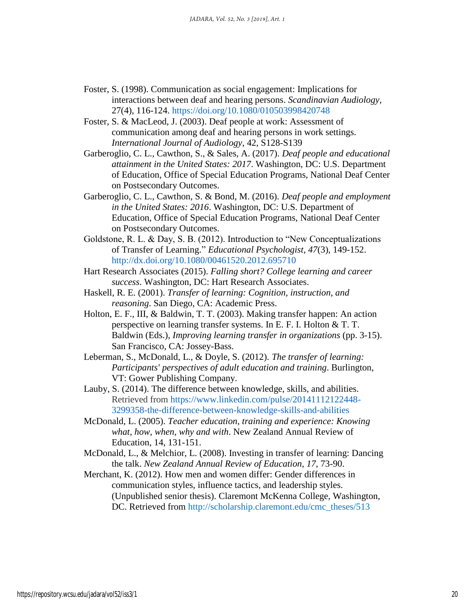- Foster, S. (1998). Communication as social engagement: Implications for interactions between deaf and hearing persons. *Scandinavian Audiology*, 27(4), 116-124.<https://doi.org/10.1080/010503998420748>
- Foster, S. & MacLeod, J. (2003). Deaf people at work: Assessment of communication among deaf and hearing persons in work settings. *International Journal of Audiology*, 42, S128-S139
- Garberoglio, C. L., Cawthon, S., & Sales, A. (2017). *Deaf people and educational attainment in the United States: 2017*. Washington, DC: U.S. Department of Education, Office of Special Education Programs, National Deaf Center on Postsecondary Outcomes.
- Garberoglio, C. L., Cawthon, S. & Bond, M. (2016). *Deaf people and employment in the United States: 2016*. Washington, DC: U.S. Department of Education, Office of Special Education Programs, National Deaf Center on Postsecondary Outcomes.
- Goldstone, R. L. & Day, S. B. (2012). Introduction to "New Conceptualizations of Transfer of Learning." *Educational Psychologist*, *47*(3), 149-152. <http://dx.doi.org/10.1080/00461520.2012.695710>
- Hart Research Associates (2015). *Falling short? College learning and career success*. Washington, DC: Hart Research Associates.
- Haskell, R. E. (2001). *Transfer of learning: Cognition, instruction, and reasoning*. San Diego, CA: Academic Press.
- Holton, E. F., III, & Baldwin, T. T. (2003). Making transfer happen: An action perspective on learning transfer systems. In E. F. I. Holton & T. T. Baldwin (Eds.), *Improving learning transfer in organizations* (pp. 3-15). San Francisco, CA: Jossey-Bass.
- Leberman, S., McDonald, L., & Doyle, S. (2012). *The transfer of learning: Participants' perspectives of adult education and training*. Burlington, VT: Gower Publishing Company.
- Lauby, S. (2014). The difference between knowledge, skills, and abilities. Retrieved from [https://www.linkedin.com/pulse/20141112122448-](https://www.linkedin.com/pulse/20141112122448-3299358-the-difference-between-knowledge-skills-and-abilities) [3299358-the-difference-between-knowledge-skills-and-abilities](https://www.linkedin.com/pulse/20141112122448-3299358-the-difference-between-knowledge-skills-and-abilities)
- McDonald, L. (2005). *Teacher education, training and experience: Knowing what, how, when, why and with*. New Zealand Annual Review of Education, 14, 131-151.
- McDonald, L., & Melchior, L. (2008). Investing in transfer of learning: Dancing the talk. *New Zealand Annual Review of Education*, *17*, 73-90.
- Merchant, K. (2012). How men and women differ: Gender differences in communication styles, influence tactics, and leadership styles. (Unpublished senior thesis). Claremont McKenna College, Washington, DC. Retrieved from [http://scholarship.claremont.edu/cmc\\_theses/513](http://scholarship.claremont.edu/cmc_theses/513)